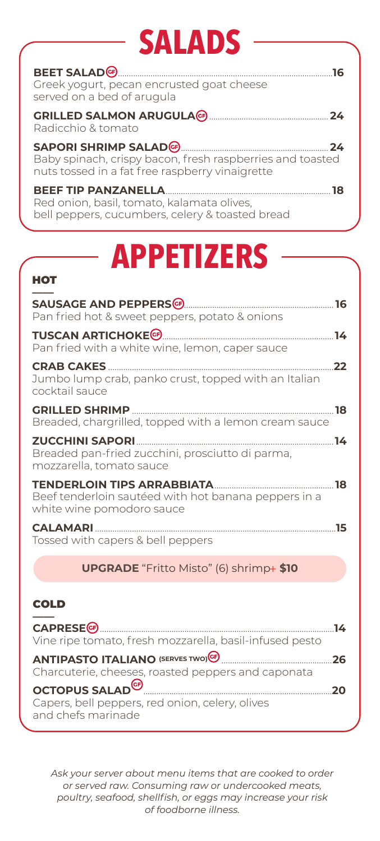# **SALADS**

| BEET SALAD <sup>(6)</sup> 2008 2009 2012 2022 2023 2024 2025 2022 2023 2024 2022 2023 2024 2022 2023 2024 2025 2026 2027<br>Greek yogurt, pecan encrusted goat cheese<br>served on a bed of arugula |
|-----------------------------------------------------------------------------------------------------------------------------------------------------------------------------------------------------|
| Radicchio & tomato                                                                                                                                                                                  |
| SAPORI SHRIMP SALAD (F) 24<br>Baby spinach, crispy bacon, fresh raspberries and toasted<br>nuts tossed in a fat free raspberry vinaigrette                                                          |
| Red onion, basil, tomato, kalamata olives,<br>bell peppers, cucumbers, celery & toasted bread                                                                                                       |

# **APPETIZERS**

### **HOT**

| SAUSAGE AND PEPPERS <sup>(G)</sup> [1990] CAUSAGE AND PEPPERS (G) <b>[1990]</b><br>Pan fried hot & sweet peppers, potato & onions                                                                                                                                                                                              |    |
|--------------------------------------------------------------------------------------------------------------------------------------------------------------------------------------------------------------------------------------------------------------------------------------------------------------------------------|----|
| <b>TUSCAN ARTICHOKE<sup>G</sup></b><br><u>14 The Second Contract of the Second Contract of the Second Contract of the Second Contract of the Second Contract of the Second Contract of the Second Contract of the Second Contract of the Second Contract of the Second </u><br>Pan fried with a white wine, lemon, caper sauce |    |
| <b>CRAB CAKES</b><br>Jumbo lump crab, panko crust, topped with an Italian<br>cocktail sauce                                                                                                                                                                                                                                    | 22 |
| Breaded, chargrilled, topped with a lemon cream sauce                                                                                                                                                                                                                                                                          |    |
| <b>ZUCCHINI SAPORI</b><br><u>14</u><br>Breaded pan-fried zucchini, prosciutto di parma,<br>mozzarella, tomato sauce                                                                                                                                                                                                            |    |
| TENDERLOIN TIPS ARRABBIATA <b>SECOND TENDERLOIN</b> TIPS<br>Beef tenderloin sautéed with hot banana peppers in a<br>white wine pomodoro sauce                                                                                                                                                                                  |    |
| Tossed with capers & bell peppers                                                                                                                                                                                                                                                                                              |    |
| <b>UPGRADE</b> "Fritto Misto" (6) shrimp+ \$10                                                                                                                                                                                                                                                                                 |    |
|                                                                                                                                                                                                                                                                                                                                |    |

### **COLD**

|                                                                       | - 14 |
|-----------------------------------------------------------------------|------|
| Vine ripe tomato, fresh mozzarella, basil-infused pesto               |      |
|                                                                       | 26   |
| Charcuterie, cheeses, roasted peppers and caponata                    |      |
| OCTOPUS SALAD <sup>CO</sup>                                           | חכ   |
| Capers, bell peppers, red onion, celery, olives<br>and chefs marinade |      |
|                                                                       |      |

Ask your server about menu items that are cooked to order or served raw. Consuming raw or undercooked meats, poultry, seafood, shellfish, or eggs may increase your risk of foodborne illness.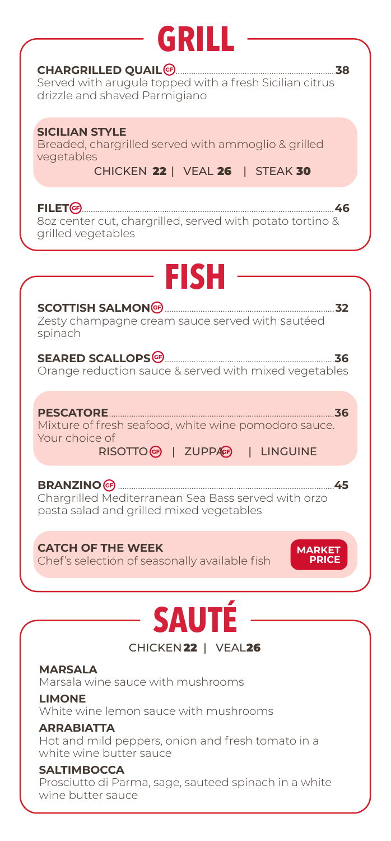# **GRIL**

### **CHARGRILLED QUAIL** ....................................................................... **38**

Served with arugula topped with a fresh Sicilian citrus drizzle and shaved Parmigiano

### **SICILIAN STYLE**

Breaded, chargrilled served with ammoglio & grilled vegetables

CHICKEN 22 | VEAL 26 | STEAK 30

**FILET** .................................................................................................................**46** 8oz center cut, chargrilled, served with potato tortino & grilled vegetables

## **FISH**

#### **SCOTTISH SALMON** ............................................................................**32** Zesty champagne cream sauce served with sautéed spinach

**SEARED SCALLOPS** ............................................................................**36** Orange reduction sauce & served with mixed vegetables

**PESCATORE**.....................................................................................................**36** Mixture of fresh seafood, white wine pomodoro sauce. Your choice of RISOTTO | ZUPPA | LINGUINE

**BRANZINO** .................................................................................................**45** Chargrilled Mediterranean Sea Bass served with orzo pasta salad and grilled mixed vegetables

**CATCH OF THE WEEK** Chef's selection of seasonally available fish

**MARKET PRICE**

### **SAUTÉ** CHICKEN 22 | VEAL26

**MARSALA** Marsala wine sauce with mushrooms

**LIMONE** White wine lemon sauce with mushrooms

### **ARRABIATTA** Hot and mild peppers, onion and fresh tomato in a white wine butter sauce

### **SALTIMBOCCA**

Prosciutto di Parma, sage, sauteed spinach in a white wine butter sauce